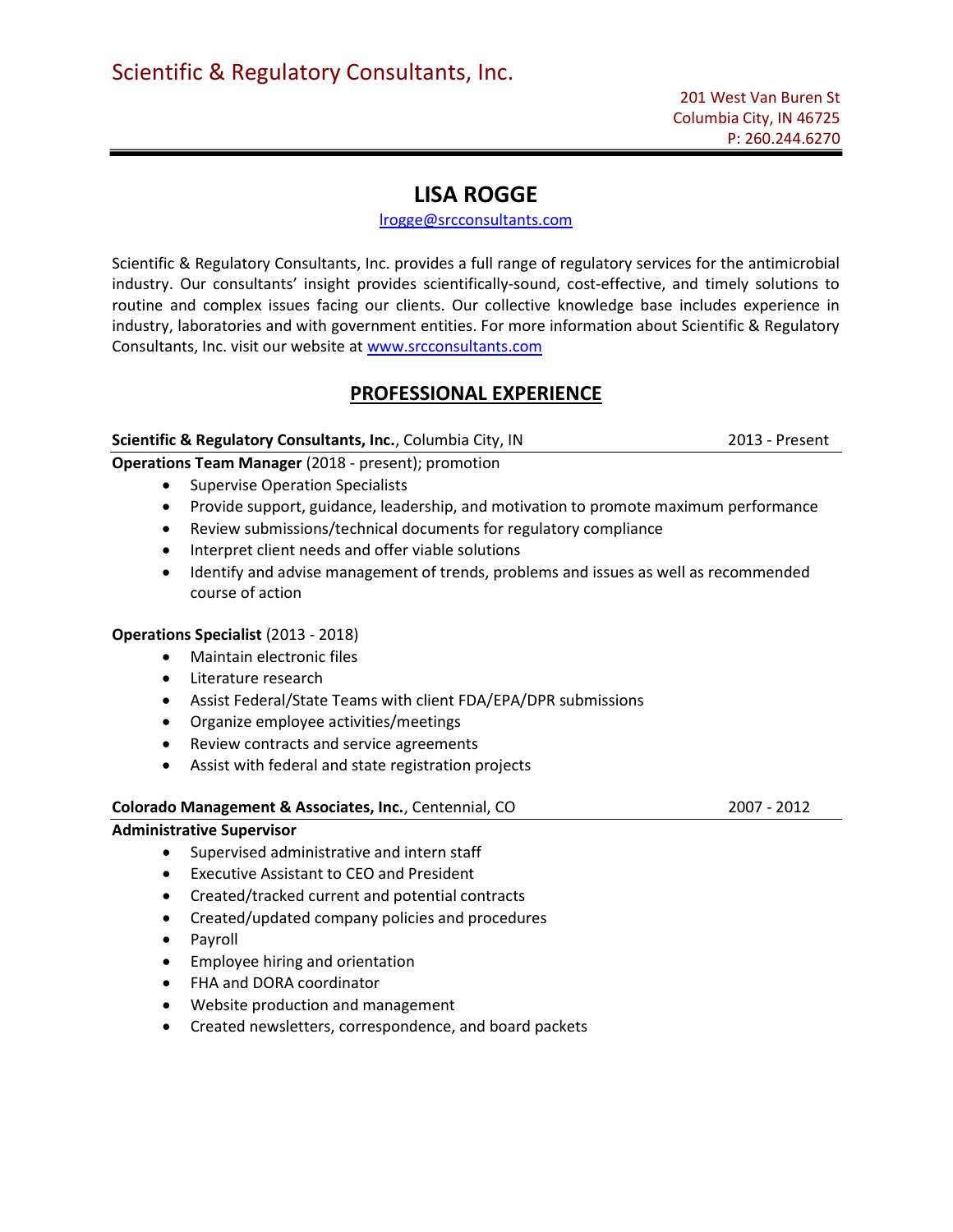# LISA ROGGE

# lrogge@srcconsultants.com

Scientific & Regulatory Consultants, Inc. provides a full range of regulatory services for the antimicrobial industry. Our consultants' insight provides scientifically-sound, cost-effective, and timely solutions to routine and complex issues facing our clients. Our collective knowledge base includes experience in industry, laboratories and with government entities. For more information about Scientific & Regulatory Consultants, Inc. visit our website at www.srcconsultants.com

# PROFESSIONAL EXPERIENCE

# Scientific & Regulatory Consultants, Inc., Columbia City, IN 2013 - Present

# Operations Team Manager (2018 - present); promotion

- Supervise Operation Specialists
- Provide support, guidance, leadership, and motivation to promote maximum performance
- Review submissions/technical documents for regulatory compliance
- Interpret client needs and offer viable solutions
- Identify and advise management of trends, problems and issues as well as recommended course of action

# Operations Specialist (2013 - 2018)

- Maintain electronic files
- Literature research
- Assist Federal/State Teams with client FDA/EPA/DPR submissions
- Organize employee activities/meetings
- Review contracts and service agreements
- Assist with federal and state registration projects

#### Colorado Management & Associates, Inc., Centennial, CO 2007 - 2012

# Administrative Supervisor

- Supervised administrative and intern staff
- Executive Assistant to CEO and President
- Created/tracked current and potential contracts
- Created/updated company policies and procedures
- Payroll
- Employee hiring and orientation
- FHA and DORA coordinator
- Website production and management
- Created newsletters, correspondence, and board packets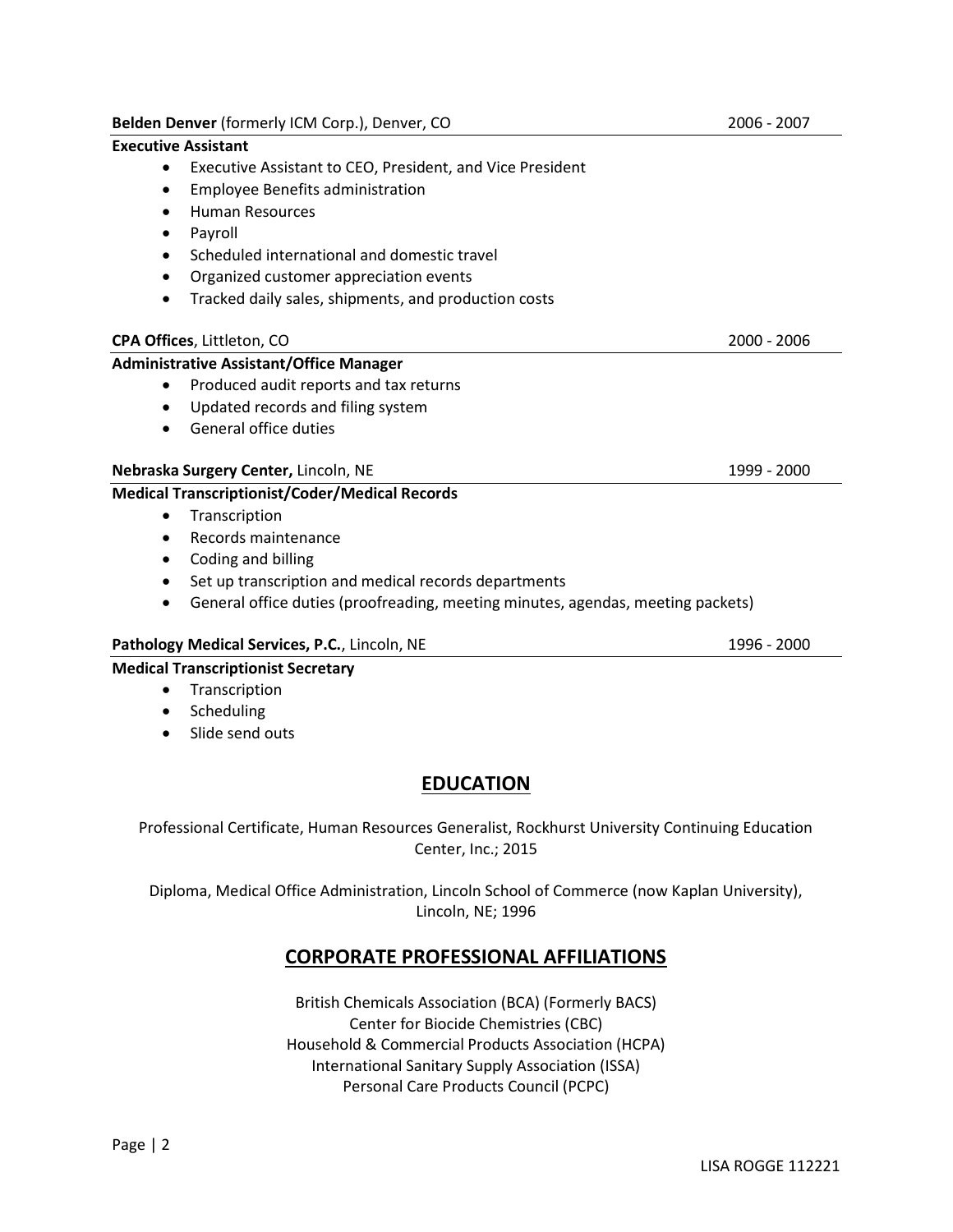# Executive Assistant

- Executive Assistant to CEO, President, and Vice President
- Employee Benefits administration
- Human Resources
- Payroll
- Scheduled international and domestic travel
- Organized customer appreciation events
- Tracked daily sales, shipments, and production costs

# CPA Offices, Littleton, CO 2000 - 2006

# Administrative Assistant/Office Manager

- Produced audit reports and tax returns
- Updated records and filing system
- General office duties

# Nebraska Surgery Center, Lincoln, NE 1999 - 2000

# Medical Transcriptionist/Coder/Medical Records

- Transcription
- Records maintenance
- Coding and billing
- Set up transcription and medical records departments
- General office duties (proofreading, meeting minutes, agendas, meeting packets)

# Pathology Medical Services, P.C., Lincoln, NE 1996 - 2000

# Medical Transcriptionist Secretary

- Transcription
- Scheduling
- Slide send outs

# **EDUCATION**

Professional Certificate, Human Resources Generalist, Rockhurst University Continuing Education Center, Inc.; 2015

Diploma, Medical Office Administration, Lincoln School of Commerce (now Kaplan University), Lincoln, NE; 1996

# CORPORATE PROFESSIONAL AFFILIATIONS

British Chemicals Association (BCA) (Formerly BACS) Center for Biocide Chemistries (CBC) Household & Commercial Products Association (HCPA) International Sanitary Supply Association (ISSA) Personal Care Products Council (PCPC)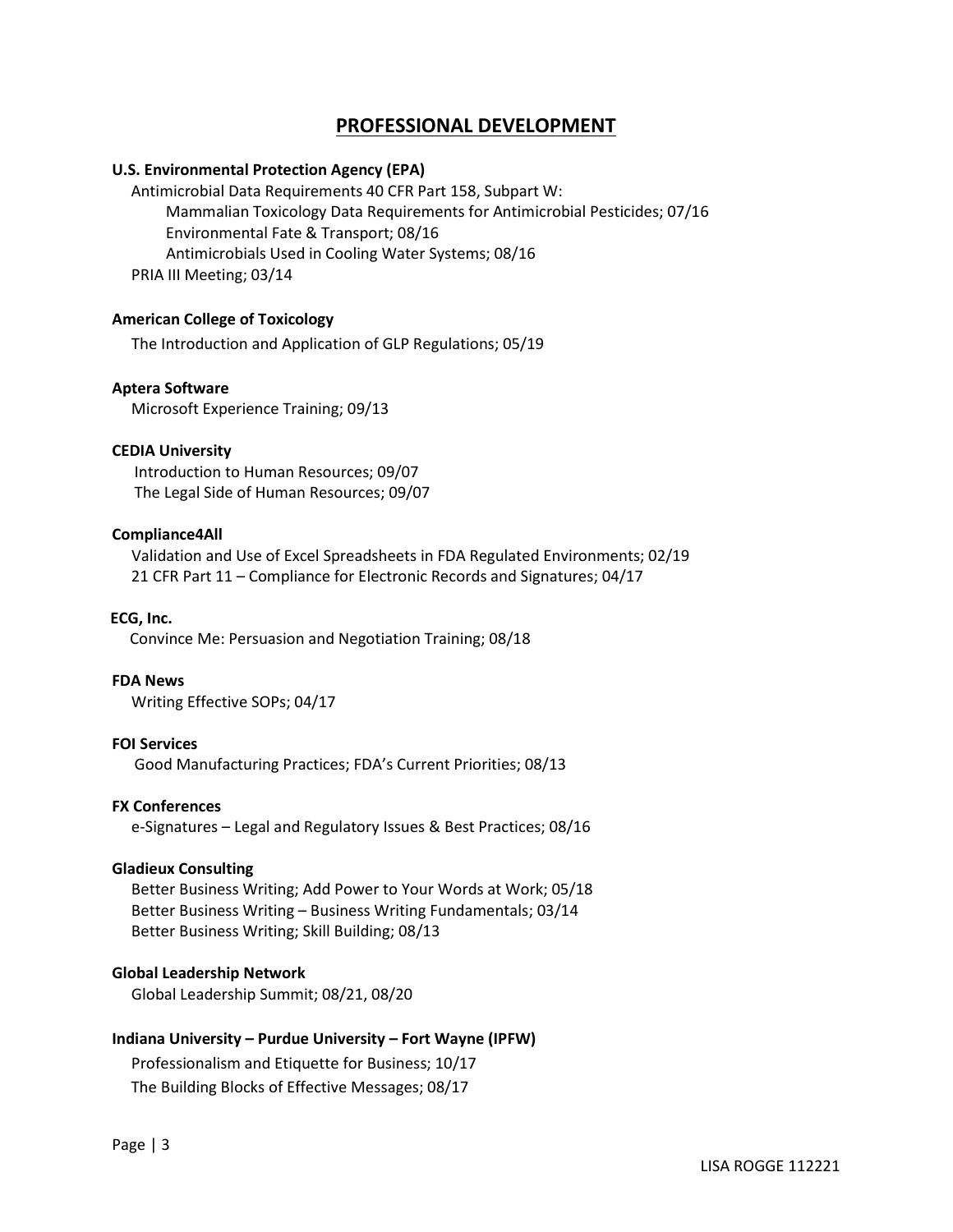# PROFESSIONAL DEVELOPMENT

#### U.S. Environmental Protection Agency (EPA)

Antimicrobial Data Requirements 40 CFR Part 158, Subpart W: Mammalian Toxicology Data Requirements for Antimicrobial Pesticides; 07/16 Environmental Fate & Transport; 08/16 Antimicrobials Used in Cooling Water Systems; 08/16 PRIA III Meeting; 03/14

#### American College of Toxicology

The Introduction and Application of GLP Regulations; 05/19

#### Aptera Software

Microsoft Experience Training; 09/13

# CEDIA University

 Introduction to Human Resources; 09/07 The Legal Side of Human Resources; 09/07

#### Compliance4All

 Validation and Use of Excel Spreadsheets in FDA Regulated Environments; 02/19 21 CFR Part 11 – Compliance for Electronic Records and Signatures; 04/17

ECG, Inc.

Convince Me: Persuasion and Negotiation Training; 08/18

# FDA News

Writing Effective SOPs; 04/17

# FOI Services

Good Manufacturing Practices; FDA's Current Priorities; 08/13

#### FX Conferences

e-Signatures – Legal and Regulatory Issues & Best Practices; 08/16

#### Gladieux Consulting

 Better Business Writing; Add Power to Your Words at Work; 05/18 Better Business Writing – Business Writing Fundamentals; 03/14 Better Business Writing; Skill Building; 08/13

# Global Leadership Network

Global Leadership Summit; 08/21, 08/20

# Indiana University – Purdue University – Fort Wayne (IPFW)

Professionalism and Etiquette for Business; 10/17

The Building Blocks of Effective Messages; 08/17